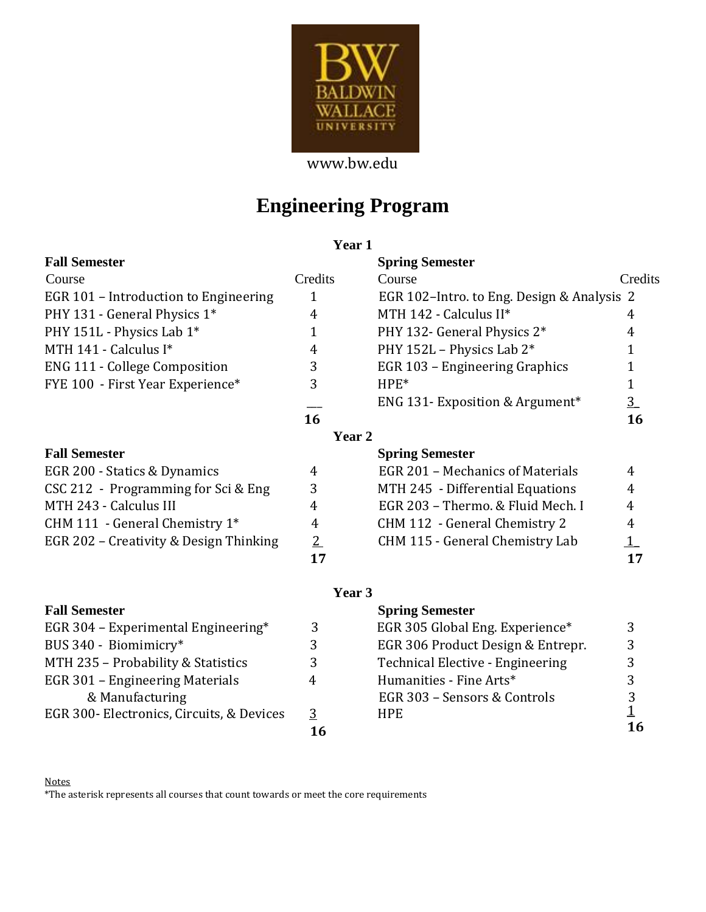

www.bw.edu

# **Engineering Program**

# **Year 1**

|  | <b>Fall Semester</b> |
|--|----------------------|
|--|----------------------|

| Course                                |  |
|---------------------------------------|--|
| EGR 101 – Introduction to Engineering |  |
| PHY 131 - General Physics 1*          |  |
| PHY 151L - Physics Lab 1*             |  |
| MTH $141$ - Calculus I*               |  |
| <b>ENG 111 - College Composition</b>  |  |
| FYE 100 - First Year Experience*      |  |
|                                       |  |

## **Fall Semester**

| EGR 200 - Statics & Dynamics           | 4              | EGR 201 - Mechanics of Materials  | 4            |
|----------------------------------------|----------------|-----------------------------------|--------------|
| CSC 212 - Programming for Sci & Eng    | 3              | MTH 245 - Differential Equations  | 4            |
| MTH 243 - Calculus III                 |                | EGR 203 - Thermo. & Fluid Mech. I | 4            |
| CHM 111 - General Chemistry $1^*$      | 4              | CHM 112 - General Chemistry 2     | 4            |
| EGR 202 - Creativity & Design Thinking | $\overline{2}$ | CHM 115 - General Chemistry Lab   | $\mathbf{1}$ |
|                                        | 17             |                                   | 17           |

# **Fall Semester**

| EGR 304 – Experimental Engineering*       | 3  | EGR  |
|-------------------------------------------|----|------|
| BUS 340 - Biomimicry*                     | 3  | EGR. |
| MTH 235 - Probability & Statistics        | 3  | Tech |
| EGR 301 – Engineering Materials           | 4  | Hum  |
| & Manufacturing                           |    | EGR. |
| EGR 300- Electronics, Circuits, & Devices | 3  | HPE. |
|                                           | 16 |      |

| <b>Fall Semester</b>                  |         | <b>Spring Semester</b>                      |                |
|---------------------------------------|---------|---------------------------------------------|----------------|
| Course                                | Credits | Course                                      | Credits        |
| EGR 101 – Introduction to Engineering | 1       | EGR 102-Intro. to Eng. Design & Analysis 2  |                |
| PHY 131 - General Physics 1*          | 4       | MTH 142 - Calculus II*                      | 4              |
| PHY 151L - Physics Lab 1*             |         | PHY 132- General Physics 2*                 | 4              |
| MTH 141 - Calculus I*                 | 4       | PHY 152L - Physics Lab 2*                   |                |
| <b>ENG 111 - College Composition</b>  | 3       | EGR 103 - Engineering Graphics              |                |
| FYE 100 - First Year Experience*      | 3       | $HPE*$                                      |                |
|                                       |         | ENG 131- Exposition & Argument <sup>*</sup> | $\overline{3}$ |
|                                       | 16      |                                             | 16             |
|                                       | Year 2  |                                             |                |
| <b>Fall Semester</b>                  |         | <b>Spring Semester</b>                      |                |
| EGR 200 - Statics & Dynamics          | 4       | EGR 201 - Mechanics of Materials            | 4              |
| CSC 212 - Programming for Sci & Eng   | 3       | MTH 245 - Differential Equations            | 4              |
| MTH 243 - Calculus III                | 4       | EGR 203 - Thermo, & Fluid Mech. I           | 4              |
| CHM 111 - General Chemistry $1^*$     | 4       | CHM 112 - General Chemistry 2               | 4              |

## **Year 3**

| <b>Fall Semester</b>                      |   | <b>Spring Semester</b>            |    |
|-------------------------------------------|---|-----------------------------------|----|
| EGR 304 – Experimental Engineering*       | 3 | EGR 305 Global Eng. Experience*   |    |
| BUS 340 - Biomimicry*                     |   | EGR 306 Product Design & Entrepr. |    |
| MTH 235 - Probability & Statistics        |   | Technical Elective - Engineering  |    |
| EGR 301 – Engineering Materials           | 4 | Humanities - Fine Arts*           |    |
| & Manufacturing                           |   | EGR 303 – Sensors & Controls      |    |
| EGR 300- Electronics, Circuits, & Devices | 3 | HPE.                              |    |
|                                           |   |                                   | 16 |

#### Notes \*The asterisk represents all courses that count towards or meet the core requirements